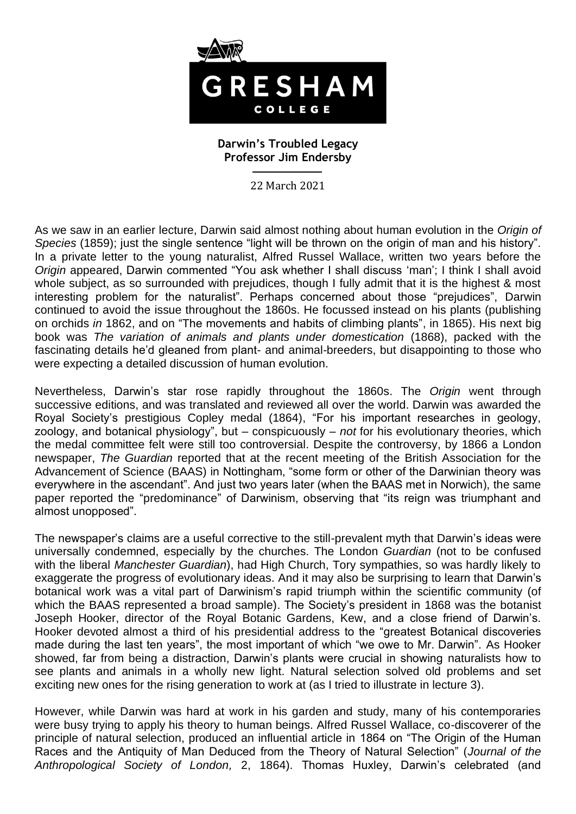

## **Darwin's Troubled Legacy Professor Jim Endersby**

22 March 2021

As we saw in an earlier lecture, Darwin said almost nothing about human evolution in the *Origin of Species* (1859); just the single sentence "light will be thrown on the origin of man and his history". In a private letter to the young naturalist, Alfred Russel Wallace, written two years before the *Origin* appeared, Darwin commented "You ask whether I shall discuss 'man'; I think I shall avoid whole subject, as so surrounded with prejudices, though I fully admit that it is the highest & most interesting problem for the naturalist". Perhaps concerned about those "prejudices", Darwin continued to avoid the issue throughout the 1860s. He focussed instead on his plants (publishing on orchids *in* 1862, and on "The movements and habits of climbing plants", in 1865). His next big book was *The variation of animals and plants under domestication* (1868), packed with the fascinating details he'd gleaned from plant- and animal-breeders, but disappointing to those who were expecting a detailed discussion of human evolution.

Nevertheless, Darwin's star rose rapidly throughout the 1860s. The *Origin* went through successive editions, and was translated and reviewed all over the world. Darwin was awarded the Royal Society's prestigious Copley medal (1864), "For his important researches in geology, zoology, and botanical physiology", but – conspicuously – *not* for his evolutionary theories, which the medal committee felt were still too controversial. Despite the controversy, by 1866 a London newspaper, *The Guardian* reported that at the recent meeting of the British Association for the Advancement of Science (BAAS) in Nottingham, "some form or other of the Darwinian theory was everywhere in the ascendant". And just two years later (when the BAAS met in Norwich), the same paper reported the "predominance" of Darwinism, observing that "its reign was triumphant and almost unopposed".

The newspaper's claims are a useful corrective to the still-prevalent myth that Darwin's ideas were universally condemned, especially by the churches. The London *Guardian* (not to be confused with the liberal *Manchester Guardian*), had High Church, Tory sympathies, so was hardly likely to exaggerate the progress of evolutionary ideas. And it may also be surprising to learn that Darwin's botanical work was a vital part of Darwinism's rapid triumph within the scientific community (of which the BAAS represented a broad sample). The Society's president in 1868 was the botanist Joseph Hooker, director of the Royal Botanic Gardens, Kew, and a close friend of Darwin's. Hooker devoted almost a third of his presidential address to the "greatest Botanical discoveries made during the last ten years", the most important of which "we owe to Mr. Darwin". As Hooker showed, far from being a distraction, Darwin's plants were crucial in showing naturalists how to see plants and animals in a wholly new light. Natural selection solved old problems and set exciting new ones for the rising generation to work at (as I tried to illustrate in lecture 3).

However, while Darwin was hard at work in his garden and study, many of his contemporaries were busy trying to apply his theory to human beings. Alfred Russel Wallace, co-discoverer of the principle of natural selection, produced an influential article in 1864 on "The Origin of the Human Races and the Antiquity of Man Deduced from the Theory of Natural Selection" (*Journal of the Anthropological Society of London,* 2, 1864). Thomas Huxley, Darwin's celebrated (and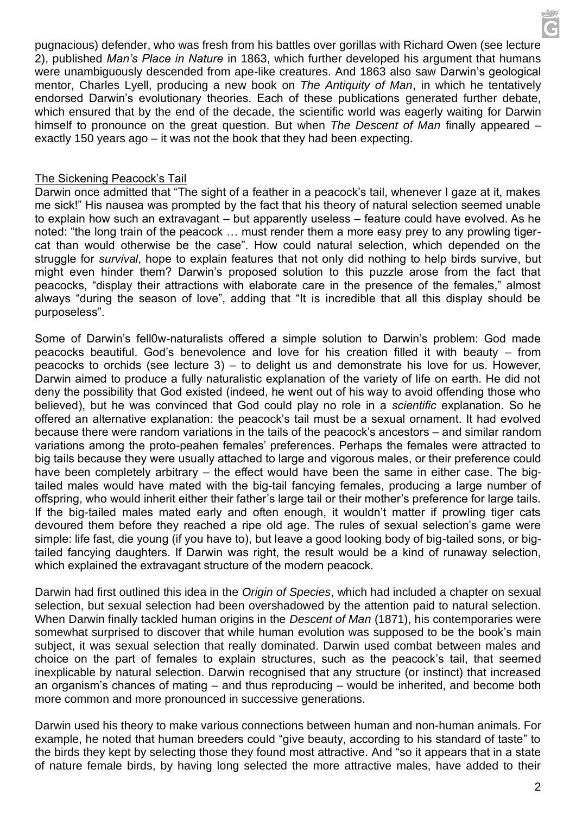pugnacious) defender, who was fresh from his battles over gorillas with Richard Owen (see lecture 2), published *Man's Place in Nature* in 1863, which further developed his argument that humans were unambiguously descended from ape-like creatures. And 1863 also saw Darwin's geological mentor, Charles Lyell, producing a new book on *The Antiquity of Man*, in which he tentatively endorsed Darwin's evolutionary theories. Each of these publications generated further debate, which ensured that by the end of the decade, the scientific world was eagerly waiting for Darwin himself to pronounce on the great question. But when *The Descent of Man* finally appeared – exactly 150 years ago – it was not the book that they had been expecting.

## The Sickening Peacock's Tail

Darwin once admitted that "The sight of a feather in a peacock's tail, whenever I gaze at it, makes me sick!" His nausea was prompted by the fact that his theory of natural selection seemed unable to explain how such an extravagant – but apparently useless – feature could have evolved. As he noted: "the long train of the peacock … must render them a more easy prey to any prowling tigercat than would otherwise be the case". How could natural selection, which depended on the struggle for *survival*, hope to explain features that not only did nothing to help birds survive, but might even hinder them? Darwin's proposed solution to this puzzle arose from the fact that peacocks, "display their attractions with elaborate care in the presence of the females," almost always "during the season of love", adding that "It is incredible that all this display should be purposeless".

Some of Darwin's fell0w-naturalists offered a simple solution to Darwin's problem: God made peacocks beautiful. God's benevolence and love for his creation filled it with beauty – from peacocks to orchids (see lecture 3) – to delight us and demonstrate his love for us. However, Darwin aimed to produce a fully naturalistic explanation of the variety of life on earth. He did not deny the possibility that God existed (indeed, he went out of his way to avoid offending those who believed), but he was convinced that God could play no role in a *scientific* explanation. So he offered an alternative explanation: the peacock's tail must be a sexual ornament. It had evolved because there were random variations in the tails of the peacock's ancestors – and similar random variations among the proto-peahen females' preferences. Perhaps the females were attracted to big tails because they were usually attached to large and vigorous males, or their preference could have been completely arbitrary – the effect would have been the same in either case. The bigtailed males would have mated with the big-tail fancying females, producing a large number of offspring, who would inherit either their father's large tail or their mother's preference for large tails. If the big-tailed males mated early and often enough, it wouldn't matter if prowling tiger cats devoured them before they reached a ripe old age. The rules of sexual selection's game were simple: life fast, die young (if you have to), but leave a good looking body of big-tailed sons, or bigtailed fancying daughters. If Darwin was right, the result would be a kind of runaway selection, which explained the extravagant structure of the modern peacock.

Darwin had first outlined this idea in the *Origin of Species*, which had included a chapter on sexual selection, but sexual selection had been overshadowed by the attention paid to natural selection. When Darwin finally tackled human origins in the *Descent of Man* (1871), his contemporaries were somewhat surprised to discover that while human evolution was supposed to be the book's main subject, it was sexual selection that really dominated. Darwin used combat between males and choice on the part of females to explain structures, such as the peacock's tail, that seemed inexplicable by natural selection. Darwin recognised that any structure (or instinct) that increased an organism's chances of mating – and thus reproducing – would be inherited, and become both more common and more pronounced in successive generations.

Darwin used his theory to make various connections between human and non-human animals. For example, he noted that human breeders could "give beauty, according to his standard of taste" to the birds they kept by selecting those they found most attractive. And "so it appears that in a state of nature female birds, by having long selected the more attractive males, have added to their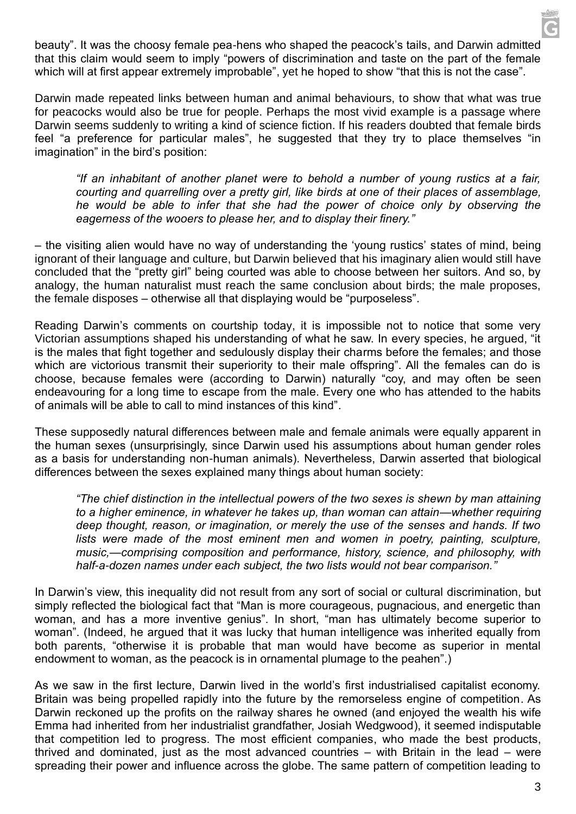beauty". It was the choosy female pea-hens who shaped the peacock's tails, and Darwin admitted that this claim would seem to imply "powers of discrimination and taste on the part of the female which will at first appear extremely improbable", yet he hoped to show "that this is not the case".

Darwin made repeated links between human and animal behaviours, to show that what was true for peacocks would also be true for people. Perhaps the most vivid example is a passage where Darwin seems suddenly to writing a kind of science fiction. If his readers doubted that female birds feel "a preference for particular males", he suggested that they try to place themselves "in imagination" in the bird's position:

*"If an inhabitant of another planet were to behold a number of young rustics at a fair, courting and quarrelling over a pretty girl, like birds at one of their places of assemblage, he would be able to infer that she had the power of choice only by observing the eagerness of the wooers to please her, and to display their finery."*

– the visiting alien would have no way of understanding the 'young rustics' states of mind, being ignorant of their language and culture, but Darwin believed that his imaginary alien would still have concluded that the "pretty girl" being courted was able to choose between her suitors. And so, by analogy, the human naturalist must reach the same conclusion about birds; the male proposes, the female disposes – otherwise all that displaying would be "purposeless".

Reading Darwin's comments on courtship today, it is impossible not to notice that some very Victorian assumptions shaped his understanding of what he saw. In every species, he argued, "it is the males that fight together and sedulously display their charms before the females; and those which are victorious transmit their superiority to their male offspring". All the females can do is choose, because females were (according to Darwin) naturally "coy, and may often be seen endeavouring for a long time to escape from the male. Every one who has attended to the habits of animals will be able to call to mind instances of this kind".

These supposedly natural differences between male and female animals were equally apparent in the human sexes (unsurprisingly, since Darwin used his assumptions about human gender roles as a basis for understanding non-human animals). Nevertheless, Darwin asserted that biological differences between the sexes explained many things about human society:

*"The chief distinction in the intellectual powers of the two sexes is shewn by man attaining to a higher eminence, in whatever he takes up, than woman can attain—whether requiring deep thought, reason, or imagination, or merely the use of the senses and hands. If two* lists were made of the most eminent men and women in poetry, painting, sculpture, *music,—comprising composition and performance, history, science, and philosophy, with half-a-dozen names under each subject, the two lists would not bear comparison."*

In Darwin's view, this inequality did not result from any sort of social or cultural discrimination, but simply reflected the biological fact that "Man is more courageous, pugnacious, and energetic than woman, and has a more inventive genius". In short, "man has ultimately become superior to woman". (Indeed, he argued that it was lucky that human intelligence was inherited equally from both parents, "otherwise it is probable that man would have become as superior in mental endowment to woman, as the peacock is in ornamental plumage to the peahen".)

As we saw in the first lecture, Darwin lived in the world's first industrialised capitalist economy. Britain was being propelled rapidly into the future by the remorseless engine of competition. As Darwin reckoned up the profits on the railway shares he owned (and enjoyed the wealth his wife Emma had inherited from her industrialist grandfather, Josiah Wedgwood), it seemed indisputable that competition led to progress. The most efficient companies, who made the best products, thrived and dominated, just as the most advanced countries – with Britain in the lead – were spreading their power and influence across the globe. The same pattern of competition leading to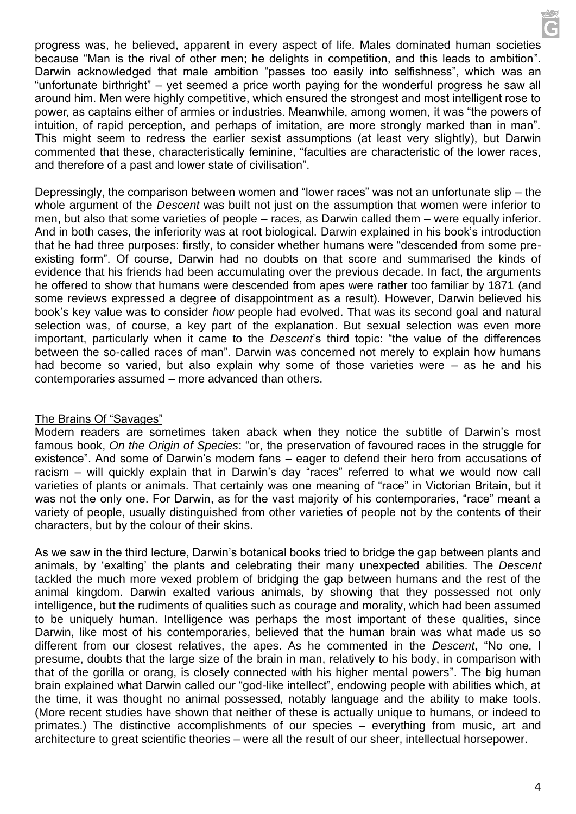progress was, he believed, apparent in every aspect of life. Males dominated human societies because "Man is the rival of other men; he delights in competition, and this leads to ambition". Darwin acknowledged that male ambition "passes too easily into selfishness", which was an "unfortunate birthright" – yet seemed a price worth paying for the wonderful progress he saw all around him. Men were highly competitive, which ensured the strongest and most intelligent rose to power, as captains either of armies or industries. Meanwhile, among women, it was "the powers of intuition, of rapid perception, and perhaps of imitation, are more strongly marked than in man". This might seem to redress the earlier sexist assumptions (at least very slightly), but Darwin commented that these, characteristically feminine, "faculties are characteristic of the lower races, and therefore of a past and lower state of civilisation".

Depressingly, the comparison between women and "lower races" was not an unfortunate slip – the whole argument of the *Descent* was built not just on the assumption that women were inferior to men, but also that some varieties of people – races, as Darwin called them – were equally inferior. And in both cases, the inferiority was at root biological. Darwin explained in his book's introduction that he had three purposes: firstly, to consider whether humans were "descended from some preexisting form". Of course, Darwin had no doubts on that score and summarised the kinds of evidence that his friends had been accumulating over the previous decade. In fact, the arguments he offered to show that humans were descended from apes were rather too familiar by 1871 (and some reviews expressed a degree of disappointment as a result). However, Darwin believed his book's key value was to consider *how* people had evolved. That was its second goal and natural selection was, of course, a key part of the explanation. But sexual selection was even more important, particularly when it came to the *Descent*'s third topic: "the value of the differences between the so-called races of man". Darwin was concerned not merely to explain how humans had become so varied, but also explain why some of those varieties were – as he and his contemporaries assumed – more advanced than others.

# The Brains Of "Savages"

Modern readers are sometimes taken aback when they notice the subtitle of Darwin's most famous book, *On the Origin of Species*: "or, the preservation of favoured races in the struggle for existence". And some of Darwin's modern fans – eager to defend their hero from accusations of racism – will quickly explain that in Darwin's day "races" referred to what we would now call varieties of plants or animals. That certainly was one meaning of "race" in Victorian Britain, but it was not the only one. For Darwin, as for the vast majority of his contemporaries, "race" meant a variety of people, usually distinguished from other varieties of people not by the contents of their characters, but by the colour of their skins.

As we saw in the third lecture, Darwin's botanical books tried to bridge the gap between plants and animals, by 'exalting' the plants and celebrating their many unexpected abilities. The *Descent* tackled the much more vexed problem of bridging the gap between humans and the rest of the animal kingdom. Darwin exalted various animals, by showing that they possessed not only intelligence, but the rudiments of qualities such as courage and morality, which had been assumed to be uniquely human. Intelligence was perhaps the most important of these qualities, since Darwin, like most of his contemporaries, believed that the human brain was what made us so different from our closest relatives, the apes. As he commented in the *Descent*, "No one, I presume, doubts that the large size of the brain in man, relatively to his body, in comparison with that of the gorilla or orang, is closely connected with his higher mental powers". The big human brain explained what Darwin called our "god-like intellect", endowing people with abilities which, at the time, it was thought no animal possessed, notably language and the ability to make tools. (More recent studies have shown that neither of these is actually unique to humans, or indeed to primates.) The distinctive accomplishments of our species – everything from music, art and architecture to great scientific theories – were all the result of our sheer, intellectual horsepower.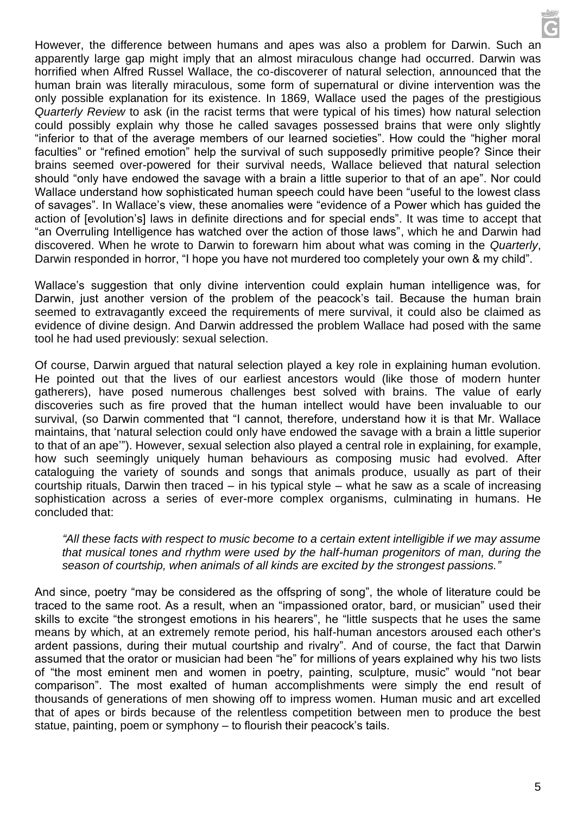However, the difference between humans and apes was also a problem for Darwin. Such an apparently large gap might imply that an almost miraculous change had occurred. Darwin was horrified when Alfred Russel Wallace, the co-discoverer of natural selection, announced that the human brain was literally miraculous, some form of supernatural or divine intervention was the only possible explanation for its existence. In 1869, Wallace used the pages of the prestigious *Quarterly Review* to ask (in the racist terms that were typical of his times) how natural selection could possibly explain why those he called savages possessed brains that were only slightly "inferior to that of the average members of our learned societies". How could the "higher moral faculties" or "refined emotion" help the survival of such supposedly primitive people? Since their brains seemed over-powered for their survival needs, Wallace believed that natural selection should "only have endowed the savage with a brain a little superior to that of an ape". Nor could Wallace understand how sophisticated human speech could have been "useful to the lowest class of savages". In Wallace's view, these anomalies were "evidence of a Power which has guided the action of [evolution's] laws in definite directions and for special ends". It was time to accept that "an Overruling Intelligence has watched over the action of those laws", which he and Darwin had discovered. When he wrote to Darwin to forewarn him about what was coming in the *Quarterly*, Darwin responded in horror, "I hope you have not murdered too completely your own & my child".

Wallace's suggestion that only divine intervention could explain human intelligence was, for Darwin, just another version of the problem of the peacock's tail. Because the human brain seemed to extravagantly exceed the requirements of mere survival, it could also be claimed as evidence of divine design. And Darwin addressed the problem Wallace had posed with the same tool he had used previously: sexual selection.

Of course, Darwin argued that natural selection played a key role in explaining human evolution. He pointed out that the lives of our earliest ancestors would (like those of modern hunter gatherers), have posed numerous challenges best solved with brains. The value of early discoveries such as fire proved that the human intellect would have been invaluable to our survival, (so Darwin commented that "I cannot, therefore, understand how it is that Mr. Wallace maintains, that 'natural selection could only have endowed the savage with a brain a little superior to that of an ape'"). However, sexual selection also played a central role in explaining, for example, how such seemingly uniquely human behaviours as composing music had evolved. After cataloguing the variety of sounds and songs that animals produce, usually as part of their courtship rituals, Darwin then traced – in his typical style – what he saw as a scale of increasing sophistication across a series of ever-more complex organisms, culminating in humans. He concluded that:

*"All these facts with respect to music become to a certain extent intelligible if we may assume that musical tones and rhythm were used by the half-human progenitors of man, during the season of courtship, when animals of all kinds are excited by the strongest passions."*

And since, poetry "may be considered as the offspring of song", the whole of literature could be traced to the same root. As a result, when an "impassioned orator, bard, or musician" used their skills to excite "the strongest emotions in his hearers", he "little suspects that he uses the same means by which, at an extremely remote period, his half-human ancestors aroused each other's ardent passions, during their mutual courtship and rivalry". And of course, the fact that Darwin assumed that the orator or musician had been "he" for millions of years explained why his two lists of "the most eminent men and women in poetry, painting, sculpture, music" would "not bear comparison". The most exalted of human accomplishments were simply the end result of thousands of generations of men showing off to impress women. Human music and art excelled that of apes or birds because of the relentless competition between men to produce the best statue, painting, poem or symphony – to flourish their peacock's tails.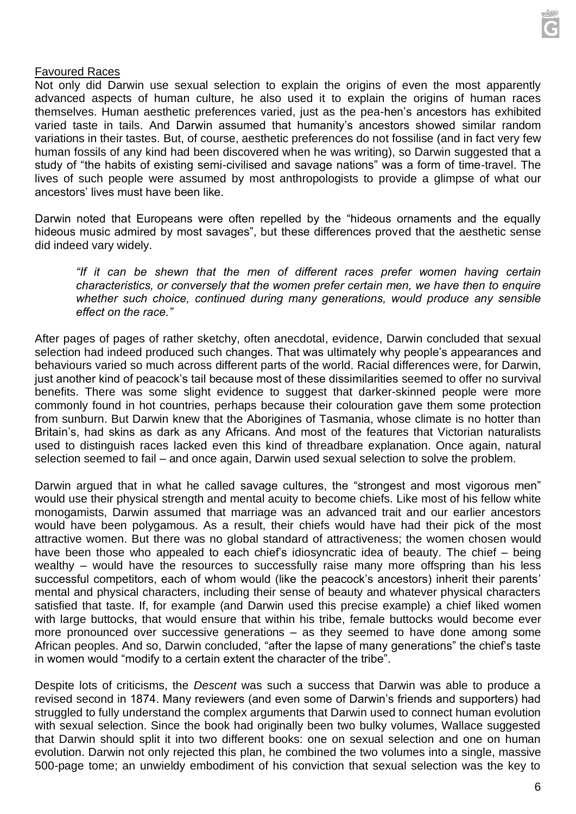

#### Favoured Races

Not only did Darwin use sexual selection to explain the origins of even the most apparently advanced aspects of human culture, he also used it to explain the origins of human races themselves. Human aesthetic preferences varied, just as the pea-hen's ancestors has exhibited varied taste in tails. And Darwin assumed that humanity's ancestors showed similar random variations in their tastes. But, of course, aesthetic preferences do not fossilise (and in fact very few human fossils of any kind had been discovered when he was writing), so Darwin suggested that a study of "the habits of existing semi-civilised and savage nations" was a form of time-travel. The lives of such people were assumed by most anthropologists to provide a glimpse of what our ancestors' lives must have been like.

Darwin noted that Europeans were often repelled by the "hideous ornaments and the equally hideous music admired by most savages", but these differences proved that the aesthetic sense did indeed vary widely.

*"If it can be shewn that the men of different races prefer women having certain characteristics, or conversely that the women prefer certain men, we have then to enquire whether such choice, continued during many generations, would produce any sensible effect on the race."*

After pages of pages of rather sketchy, often anecdotal, evidence, Darwin concluded that sexual selection had indeed produced such changes. That was ultimately why people's appearances and behaviours varied so much across different parts of the world. Racial differences were, for Darwin, just another kind of peacock's tail because most of these dissimilarities seemed to offer no survival benefits. There was some slight evidence to suggest that darker-skinned people were more commonly found in hot countries, perhaps because their colouration gave them some protection from sunburn. But Darwin knew that the Aborigines of Tasmania, whose climate is no hotter than Britain's, had skins as dark as any Africans. And most of the features that Victorian naturalists used to distinguish races lacked even this kind of threadbare explanation. Once again, natural selection seemed to fail – and once again, Darwin used sexual selection to solve the problem.

Darwin argued that in what he called savage cultures, the "strongest and most vigorous men" would use their physical strength and mental acuity to become chiefs. Like most of his fellow white monogamists, Darwin assumed that marriage was an advanced trait and our earlier ancestors would have been polygamous. As a result, their chiefs would have had their pick of the most attractive women. But there was no global standard of attractiveness; the women chosen would have been those who appealed to each chief's idiosyncratic idea of beauty. The chief – being wealthy – would have the resources to successfully raise many more offspring than his less successful competitors, each of whom would (like the peacock's ancestors) inherit their parents' mental and physical characters, including their sense of beauty and whatever physical characters satisfied that taste. If, for example (and Darwin used this precise example) a chief liked women with large buttocks, that would ensure that within his tribe, female buttocks would become ever more pronounced over successive generations – as they seemed to have done among some African peoples. And so, Darwin concluded, "after the lapse of many generations" the chief's taste in women would "modify to a certain extent the character of the tribe".

Despite lots of criticisms, the *Descent* was such a success that Darwin was able to produce a revised second in 1874. Many reviewers (and even some of Darwin's friends and supporters) had struggled to fully understand the complex arguments that Darwin used to connect human evolution with sexual selection. Since the book had originally been two bulky volumes, Wallace suggested that Darwin should split it into two different books: one on sexual selection and one on human evolution. Darwin not only rejected this plan, he combined the two volumes into a single, massive 500-page tome; an unwieldy embodiment of his conviction that sexual selection was the key to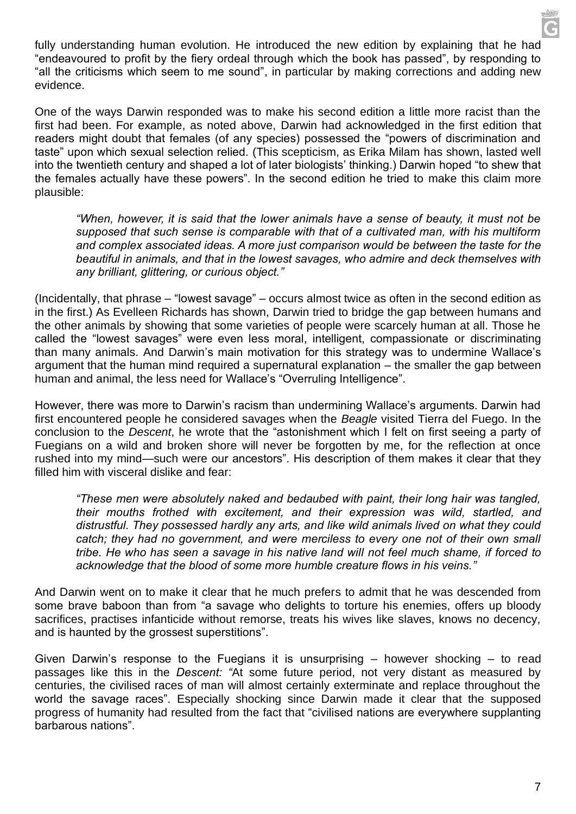fully understanding human evolution. He introduced the new edition by explaining that he had "endeavoured to profit by the fiery ordeal through which the book has passed", by responding to "all the criticisms which seem to me sound", in particular by making corrections and adding new evidence.

One of the ways Darwin responded was to make his second edition a little more racist than the first had been. For example, as noted above, Darwin had acknowledged in the first edition that readers might doubt that females (of any species) possessed the "powers of discrimination and taste" upon which sexual selection relied. (This scepticism, as Erika Milam has shown, lasted well into the twentieth century and shaped a lot of later biologists' thinking.) Darwin hoped "to shew that the females actually have these powers". In the second edition he tried to make this claim more plausible:

*"When, however, it is said that the lower animals have a sense of beauty, it must not be supposed that such sense is comparable with that of a cultivated man, with his multiform and complex associated ideas. A more just comparison would be between the taste for the beautiful in animals, and that in the lowest savages, who admire and deck themselves with any brilliant, glittering, or curious object."*

(Incidentally, that phrase – "lowest savage" – occurs almost twice as often in the second edition as in the first.) As Evelleen Richards has shown, Darwin tried to bridge the gap between humans and the other animals by showing that some varieties of people were scarcely human at all. Those he called the "lowest savages" were even less moral, intelligent, compassionate or discriminating than many animals. And Darwin's main motivation for this strategy was to undermine Wallace's argument that the human mind required a supernatural explanation – the smaller the gap between human and animal, the less need for Wallace's "Overruling Intelligence".

However, there was more to Darwin's racism than undermining Wallace's arguments. Darwin had first encountered people he considered savages when the *Beagle* visited Tierra del Fuego. In the conclusion to the *Descent*, he wrote that the "astonishment which I felt on first seeing a party of Fuegians on a wild and broken shore will never be forgotten by me, for the reflection at once rushed into my mind—such were our ancestors". His description of them makes it clear that they filled him with visceral dislike and fear:

*"These men were absolutely naked and bedaubed with paint, their long hair was tangled, their mouths frothed with excitement, and their expression was wild, startled, and distrustful. They possessed hardly any arts, and like wild animals lived on what they could catch; they had no government, and were merciless to every one not of their own small tribe. He who has seen a savage in his native land will not feel much shame, if forced to acknowledge that the blood of some more humble creature flows in his veins."*

And Darwin went on to make it clear that he much prefers to admit that he was descended from some brave baboon than from "a savage who delights to torture his enemies, offers up bloody sacrifices, practises infanticide without remorse, treats his wives like slaves, knows no decency, and is haunted by the grossest superstitions".

Given Darwin's response to the Fuegians it is unsurprising  $-$  however shocking  $-$  to read passages like this in the *Descent: "*At some future period, not very distant as measured by centuries, the civilised races of man will almost certainly exterminate and replace throughout the world the savage races". Especially shocking since Darwin made it clear that the supposed progress of humanity had resulted from the fact that "civilised nations are everywhere supplanting barbarous nations".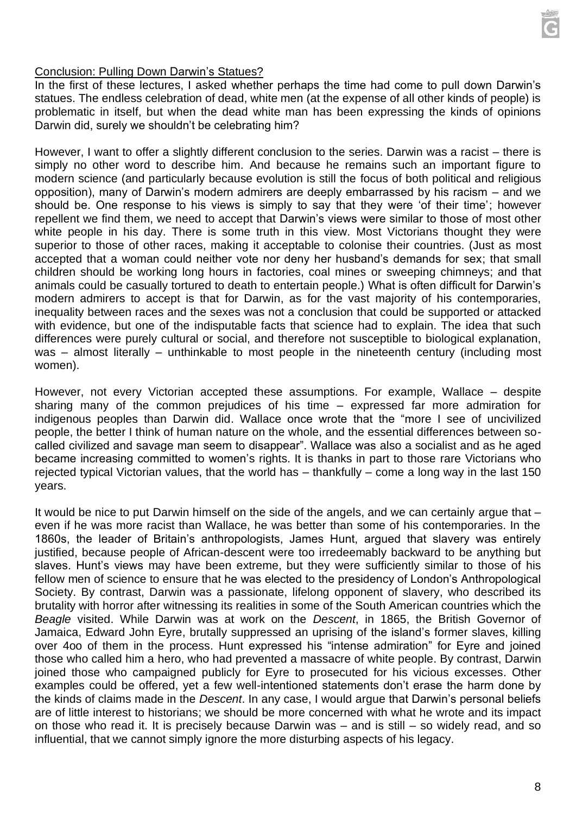## Conclusion: Pulling Down Darwin's Statues?

In the first of these lectures, I asked whether perhaps the time had come to pull down Darwin's statues. The endless celebration of dead, white men (at the expense of all other kinds of people) is problematic in itself, but when the dead white man has been expressing the kinds of opinions Darwin did, surely we shouldn't be celebrating him?

However, I want to offer a slightly different conclusion to the series. Darwin was a racist – there is simply no other word to describe him. And because he remains such an important figure to modern science (and particularly because evolution is still the focus of both political and religious opposition), many of Darwin's modern admirers are deeply embarrassed by his racism – and we should be. One response to his views is simply to say that they were 'of their time'; however repellent we find them, we need to accept that Darwin's views were similar to those of most other white people in his day. There is some truth in this view. Most Victorians thought they were superior to those of other races, making it acceptable to colonise their countries. (Just as most accepted that a woman could neither vote nor deny her husband's demands for sex; that small children should be working long hours in factories, coal mines or sweeping chimneys; and that animals could be casually tortured to death to entertain people.) What is often difficult for Darwin's modern admirers to accept is that for Darwin, as for the vast majority of his contemporaries, inequality between races and the sexes was not a conclusion that could be supported or attacked with evidence, but one of the indisputable facts that science had to explain. The idea that such differences were purely cultural or social, and therefore not susceptible to biological explanation, was – almost literally – unthinkable to most people in the nineteenth century (including most women).

However, not every Victorian accepted these assumptions. For example, Wallace – despite sharing many of the common prejudices of his time – expressed far more admiration for indigenous peoples than Darwin did. Wallace once wrote that the "more I see of uncivilized people, the better I think of human nature on the whole, and the essential differences between socalled civilized and savage man seem to disappear". Wallace was also a socialist and as he aged became increasing committed to women's rights. It is thanks in part to those rare Victorians who rejected typical Victorian values, that the world has – thankfully – come a long way in the last 150 years.

It would be nice to put Darwin himself on the side of the angels, and we can certainly argue that – even if he was more racist than Wallace, he was better than some of his contemporaries. In the 1860s, the leader of Britain's anthropologists, James Hunt, argued that slavery was entirely justified, because people of African-descent were too irredeemably backward to be anything but slaves. Hunt's views may have been extreme, but they were sufficiently similar to those of his fellow men of science to ensure that he was elected to the presidency of London's Anthropological Society. By contrast, Darwin was a passionate, lifelong opponent of slavery, who described its brutality with horror after witnessing its realities in some of the South American countries which the *Beagle* visited. While Darwin was at work on the *Descent*, in 1865, the British Governor of Jamaica, Edward John Eyre, brutally suppressed an uprising of the island's former slaves, killing over 4oo of them in the process. Hunt expressed his "intense admiration" for Eyre and joined those who called him a hero, who had prevented a massacre of white people. By contrast, Darwin joined those who campaigned publicly for Eyre to prosecuted for his vicious excesses. Other examples could be offered, yet a few well-intentioned statements don't erase the harm done by the kinds of claims made in the *Descent*. In any case, I would argue that Darwin's personal beliefs are of little interest to historians; we should be more concerned with what he wrote and its impact on those who read it. It is precisely because Darwin was – and is still – so widely read, and so influential, that we cannot simply ignore the more disturbing aspects of his legacy.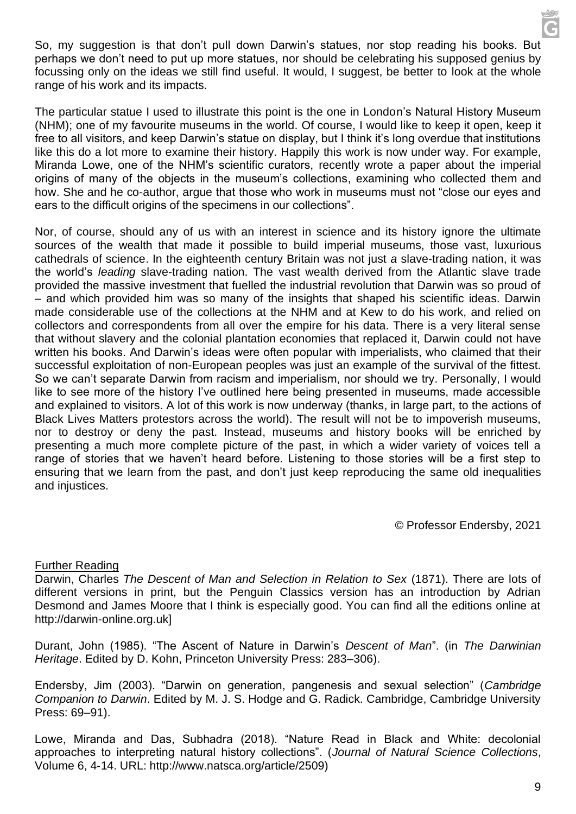So, my suggestion is that don't pull down Darwin's statues, nor stop reading his books. But perhaps we don't need to put up more statues, nor should be celebrating his supposed genius by focussing only on the ideas we still find useful. It would, I suggest, be better to look at the whole range of his work and its impacts.

The particular statue I used to illustrate this point is the one in London's Natural History Museum (NHM); one of my favourite museums in the world. Of course, I would like to keep it open, keep it free to all visitors, and keep Darwin's statue on display, but I think it's long overdue that institutions like this do a lot more to examine their history. Happily this work is now under way. For example, Miranda Lowe, one of the NHM's scientific curators, recently wrote a paper about the imperial origins of many of the objects in the museum's collections, examining who collected them and how. She and he co-author, argue that those who work in museums must not "close our eyes and ears to the difficult origins of the specimens in our collections".

Nor, of course, should any of us with an interest in science and its history ignore the ultimate sources of the wealth that made it possible to build imperial museums, those vast, luxurious cathedrals of science. In the eighteenth century Britain was not just *a* slave-trading nation, it was the world's *leading* slave-trading nation. The vast wealth derived from the Atlantic slave trade provided the massive investment that fuelled the industrial revolution that Darwin was so proud of – and which provided him was so many of the insights that shaped his scientific ideas. Darwin made considerable use of the collections at the NHM and at Kew to do his work, and relied on collectors and correspondents from all over the empire for his data. There is a very literal sense that without slavery and the colonial plantation economies that replaced it, Darwin could not have written his books. And Darwin's ideas were often popular with imperialists, who claimed that their successful exploitation of non-European peoples was just an example of the survival of the fittest. So we can't separate Darwin from racism and imperialism, nor should we try. Personally, I would like to see more of the history I've outlined here being presented in museums, made accessible and explained to visitors. A lot of this work is now underway (thanks, in large part, to the actions of Black Lives Matters protestors across the world). The result will not be to impoverish museums, nor to destroy or deny the past. Instead, museums and history books will be enriched by presenting a much more complete picture of the past, in which a wider variety of voices tell a range of stories that we haven't heard before. Listening to those stories will be a first step to ensuring that we learn from the past, and don't just keep reproducing the same old inequalities and injustices.

© Professor Endersby, 2021

## Further Reading

Darwin, Charles *The Descent of Man and Selection in Relation to Sex* (1871). There are lots of different versions in print, but the Penguin Classics version has an introduction by Adrian Desmond and James Moore that I think is especially good. You can find all the editions online at http://darwin-online.org.uk]

Durant, John (1985). "The Ascent of Nature in Darwin's *Descent of Man*". (in *The Darwinian Heritage*. Edited by D. Kohn, Princeton University Press: 283–306).

Endersby, Jim (2003). "Darwin on generation, pangenesis and sexual selection" (*Cambridge Companion to Darwin*. Edited by M. J. S. Hodge and G. Radick. Cambridge, Cambridge University Press: 69–91).

Lowe, Miranda and Das, Subhadra (2018). "Nature Read in Black and White: decolonial approaches to interpreting natural history collections". (*Journal of Natural Science Collections*, Volume 6, 4‐14. URL: http://www.natsca.org/article/2509)